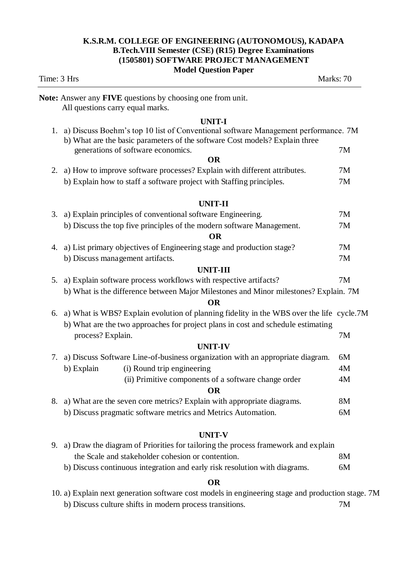#### **K.S.R.M. COLLEGE OF ENGINEERING (AUTONOMOUS), KADAPA B.Tech.VIII Semester (CSE) (R15) Degree Examinations (1505801) SOFTWARE PROJECT MANAGEMENT Model Question Paper**

|    | Time: 3 Hrs                                                                                                                                                       | Marks: 70 |  |  |
|----|-------------------------------------------------------------------------------------------------------------------------------------------------------------------|-----------|--|--|
|    | Note: Answer any FIVE questions by choosing one from unit.<br>All questions carry equal marks.                                                                    |           |  |  |
|    | <b>UNIT-I</b>                                                                                                                                                     |           |  |  |
| 1. | a) Discuss Boehm's top 10 list of Conventional software Management performance. 7M<br>b) What are the basic parameters of the software Cost models? Explain three |           |  |  |
|    | generations of software economics.                                                                                                                                | 7M        |  |  |
|    | <b>OR</b>                                                                                                                                                         |           |  |  |
| 2. | a) How to improve software processes? Explain with different attributes.                                                                                          | 7M        |  |  |
|    | b) Explain how to staff a software project with Staffing principles.                                                                                              | 7M        |  |  |
|    | <b>UNIT-II</b>                                                                                                                                                    |           |  |  |
|    | 3. a) Explain principles of conventional software Engineering.                                                                                                    | 7M        |  |  |
|    | b) Discuss the top five principles of the modern software Management.                                                                                             | 7M        |  |  |
|    | <b>OR</b>                                                                                                                                                         |           |  |  |
|    | 4. a) List primary objectives of Engineering stage and production stage?                                                                                          | 7M        |  |  |
|    | b) Discuss management artifacts.                                                                                                                                  | 7M        |  |  |
|    | <b>UNIT-III</b>                                                                                                                                                   |           |  |  |
| 5. | a) Explain software process workflows with respective artifacts?                                                                                                  | 7M        |  |  |
|    | b) What is the difference between Major Milestones and Minor milestones? Explain. 7M<br>OR                                                                        |           |  |  |
| 6. | a) What is WBS? Explain evolution of planning fidelity in the WBS over the life cycle.7M                                                                          |           |  |  |
|    | b) What are the two approaches for project plans in cost and schedule estimating                                                                                  |           |  |  |
|    | process? Explain.                                                                                                                                                 | 7M        |  |  |
|    | <b>UNIT-IV</b>                                                                                                                                                    |           |  |  |
| 7. | a) Discuss Software Line-of-business organization with an appropriate diagram.                                                                                    | 6M        |  |  |
|    | (i) Round trip engineering<br>b) Explain                                                                                                                          | 4M        |  |  |
|    | (ii) Primitive components of a software change order                                                                                                              | 4M        |  |  |
|    | <b>OR</b>                                                                                                                                                         |           |  |  |
|    | 8. a) What are the seven core metrics? Explain with appropriate diagrams.                                                                                         | 8M        |  |  |
|    | b) Discuss pragmatic software metrics and Metrics Automation.                                                                                                     | 6M        |  |  |
|    | <b>UNIT-V</b>                                                                                                                                                     |           |  |  |
| 9. | a) Draw the diagram of Priorities for tailoring the process framework and explain                                                                                 |           |  |  |
|    | the Scale and stakeholder cohesion or contention.                                                                                                                 | 8M        |  |  |
|    | b) Discuss continuous integration and early risk resolution with diagrams.                                                                                        | 6M        |  |  |
|    |                                                                                                                                                                   |           |  |  |

#### **OR**

| 10. a) Explain next generation software cost models in engineering stage and production stage. 7M |    |
|---------------------------------------------------------------------------------------------------|----|
| b) Discuss culture shifts in modern process transitions.                                          | 7M |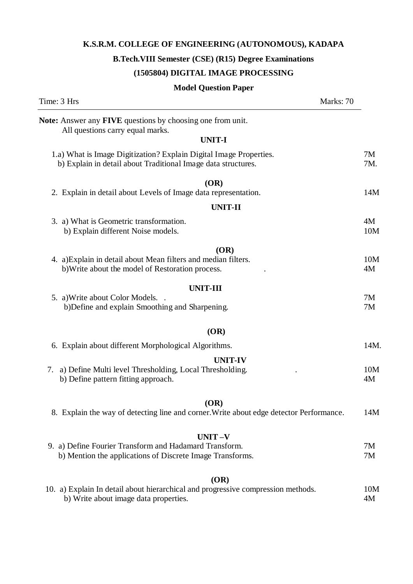# **K.S.R.M. COLLEGE OF ENGINEERING (AUTONOMOUS), KADAPA**

# **B.Tech.VIII Semester (CSE) (R15) Degree Examinations**

## **(1505804) DIGITAL IMAGE PROCESSING**

### **Model Question Paper**

| Time: 3 Hrs<br>Marks: 70                                                                                                            |           |
|-------------------------------------------------------------------------------------------------------------------------------------|-----------|
| Note: Answer any FIVE questions by choosing one from unit.<br>All questions carry equal marks.                                      |           |
| <b>UNIT-I</b>                                                                                                                       |           |
| 1.a) What is Image Digitization? Explain Digital Image Properties.<br>b) Explain in detail about Traditional Image data structures. | 7M<br>7M. |
| (OR)<br>2. Explain in detail about Levels of Image data representation.                                                             | 14M       |
| <b>UNIT-II</b>                                                                                                                      |           |
| 3. a) What is Geometric transformation.<br>b) Explain different Noise models.                                                       | 4M<br>10M |
| (OR)<br>4. a) Explain in detail about Mean filters and median filters.<br>b) Write about the model of Restoration process.          | 10M<br>4M |
| <b>UNIT-III</b>                                                                                                                     |           |
| 5. a) Write about Color Models.<br>b) Define and explain Smoothing and Sharpening.                                                  | 7M<br>7M  |
| (OR)                                                                                                                                |           |
| 6. Explain about different Morphological Algorithms.                                                                                | 14M.      |
| <b>UNIT-IV</b>                                                                                                                      |           |
| a) Define Multi level Thresholding, Local Thresholding.<br>7.<br>b) Define pattern fitting approach.                                | 10M<br>4M |
| (OR)                                                                                                                                |           |
| 8. Explain the way of detecting line and corner. Write about edge detector Performance.                                             | 14M       |
| UNIT-V                                                                                                                              |           |
| 9. a) Define Fourier Transform and Hadamard Transform.<br>b) Mention the applications of Discrete Image Transforms.                 | 7M<br>7M  |
| (OR)                                                                                                                                |           |
| 10. a) Explain In detail about hierarchical and progressive compression methods.<br>b) Write about image data properties.           | 10M<br>4M |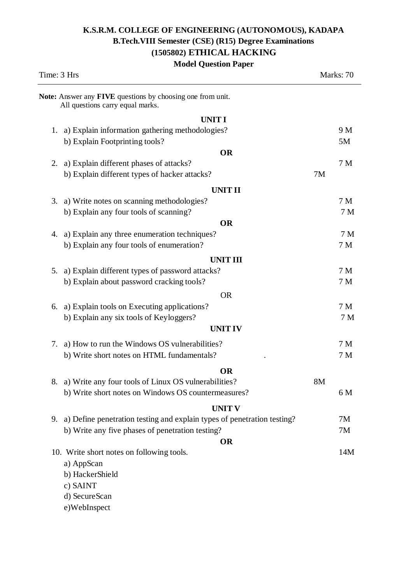# **K.S.R.M. COLLEGE OF ENGINEERING (AUTONOMOUS), KADAPA B.Tech.VIII Semester (CSE) (R15) Degree Examinations (1505802) ETHICAL HACKING**

### **Model Question Paper**

|    | Time: 3 Hrs                                                                                    |    | Marks: 70      |
|----|------------------------------------------------------------------------------------------------|----|----------------|
|    | Note: Answer any FIVE questions by choosing one from unit.<br>All questions carry equal marks. |    |                |
|    | <b>UNITI</b>                                                                                   |    |                |
| 1. | a) Explain information gathering methodologies?                                                |    | 9 M            |
|    | b) Explain Footprinting tools?                                                                 |    | 5M             |
|    | <b>OR</b>                                                                                      |    |                |
| 2. | a) Explain different phases of attacks?                                                        |    | 7 M            |
|    | b) Explain different types of hacker attacks?                                                  | 7M |                |
|    | <b>UNIT II</b>                                                                                 |    |                |
| 3. | a) Write notes on scanning methodologies?                                                      |    | 7 M            |
|    | b) Explain any four tools of scanning?                                                         |    | 7 <sub>M</sub> |
|    | <b>OR</b>                                                                                      |    |                |
| 4. | a) Explain any three enumeration techniques?                                                   |    | 7 <sub>M</sub> |
|    | b) Explain any four tools of enumeration?                                                      |    | 7 M            |
|    | <b>UNIT III</b>                                                                                |    |                |
| 5. | a) Explain different types of password attacks?                                                |    | 7 M            |
|    | b) Explain about password cracking tools?                                                      |    | 7 M            |
|    | <b>OR</b>                                                                                      |    |                |
| 6. | a) Explain tools on Executing applications?                                                    |    | 7 M            |
|    | b) Explain any six tools of Keyloggers?                                                        |    | 7 <sub>M</sub> |
|    | <b>UNIT IV</b>                                                                                 |    |                |
| 7. | a) How to run the Windows OS vulnerabilities?                                                  |    | 7 M            |
|    | b) Write short notes on HTML fundamentals?                                                     |    | 7 M            |
|    |                                                                                                |    |                |
|    | <b>OR</b>                                                                                      |    |                |
|    | 8. a) Write any four tools of Linux OS vulnerabilities?                                        | 8M |                |
|    | b) Write short notes on Windows OS countermeasures?                                            |    | 6 M            |
|    | <b>UNIT V</b>                                                                                  |    |                |
| 9. | a) Define penetration testing and explain types of penetration testing?                        |    | 7M             |
|    | b) Write any five phases of penetration testing?                                               |    | 7M             |
|    | <b>OR</b>                                                                                      |    |                |
|    | 10. Write short notes on following tools.                                                      |    | 14M            |
|    | a) AppScan                                                                                     |    |                |
|    | b) HackerShield                                                                                |    |                |
|    | c) SAINT                                                                                       |    |                |
|    | d) SecureScan                                                                                  |    |                |
|    | e)WebInspect                                                                                   |    |                |